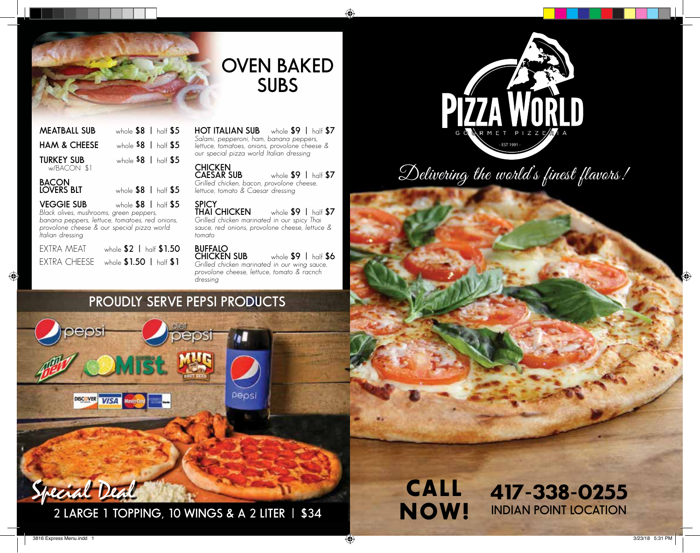

### **OVEN BAKED SUBS**

◈

| <b>MEATBALL SUB</b>                                          | whole $$8$   half $$5$ |  |
|--------------------------------------------------------------|------------------------|--|
| <b>HAM &amp; CHEESE</b>                                      | whole $$8$   half $$5$ |  |
| <b>TURKEY SUB</b><br>w/BACON \$1                             | whole $$8$   half $$5$ |  |
| <b>BACON</b><br>LOVERS BLT                                   | whole $$8$   half $$5$ |  |
| <b>VEGGIE SUB</b><br>Black olives, mushrooms, green peppers, | whole $$8$   half $$5$ |  |

*banana peppers, lettuce, tomatoes, red onions, provolone cheese & our special pizza world Italian dressing*

| extra meat | whole \$2   half \$1.50                |
|------------|----------------------------------------|
|            | EXTRA CHEESE whole $$1.50$   half $$1$ |

**HOT ITALIAN SUB** whole **\$9 |** half **\$7** *Salami, pepperoni, ham, banana peppers, lettuce, tomatoes, onions, provolone cheese & our special pizza world Italian dressing*

**CHICKEN CAESAR SUB** whole **\$9 |** half **\$7** *Grilled chicken, bacon, provolone cheese, lettuce, tomato & Caesar dressing*

**SPICY THAI CHICKEN** whole **\$9 |** half **\$7** *Grilled chicken marinated in our spicy Thai sauce, red onions, provolone cheese, lettuce & tomato*

**BUFFALO CHICKEN SUB** whole **\$9 |** half **\$6** *Grilled chicken marinated in our wing sauce, provolone cheese, lettuce, tomato & racnch* 

### **PROUDLY SERVE PEPSI PRODUCTS**

*dressing*



Special Deal **2 LARGE 1 TOPPING, 10 WINGS & A 2 LITER | \$34**

### CALL NOW! 417-338-0255 **INDIAN POINT LOCATION**

PIŽZA WO **GOURME T P I Z Z E R I A** - EST 1991 -

Delivering the world's finest flavors!